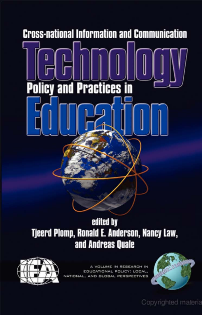# **Cross-national Information and Communication Policy and Practices in**

# edited by Tjeerd Plomp, Ronald E. Anderson, Nancy Law, and Andreas Quale



A VOLUME IN RESEARCH IN EDUCATIONAL POLICY: LOCAL. NATIONAL, AND GLOBAL PERSPECTIVES



Copyrighted materia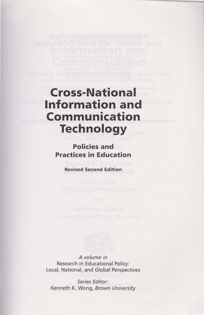# **Cross-National Information and Communication Technology**

**Policies and Practices in Education** 

**Revised Second Edition** 

A volume in Research in Educational Policy: Local, National, and Global Perspectives

**Series Editor:** Kenneth K. Wong, Brown University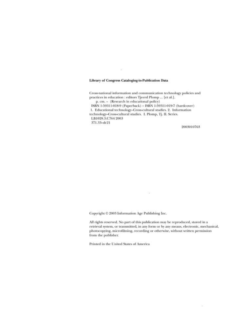### Library of Congress Cataloging-in-Publication Data

Cross-national information and communication technology policies and practices in education : editors Tjeerd Plomp ... [et al.].

p. cm. - (Research in educational policy) ISBN 1-59311-018-9 (Paperback) - ISBN 1-59311-019-7 (hardcover) 1. Educational technology-Cross-cultural studies. 2. Information technology-Cross-cultural studies. I. Plomp, Tj. II. Series. LB1028.3.C764 2003 371.33-dc21

2003010763

Copyright © 2003 Information Age Publishing Inc.

All rights reserved. No part of this publication may be reproduced, stored in a retrieval system, or transmitted, in any form or by any means, electronic, mechanical, photocopying, microfilming, recording or otherwise, without written permission from the publisher.

 $\sim 10^{-1}$ 

Printed in the United States of America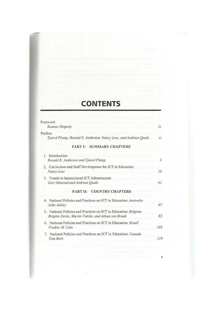# **CONTENTS**

| Foreword                                                                                                              |                |
|-----------------------------------------------------------------------------------------------------------------------|----------------|
| Seamus Hegarty                                                                                                        | ix             |
| Preface<br>Tjeerd Plomp, Ronald E. Anderson, Nancy Law, and Andreas Quale                                             | xi             |
| <b>SUMMARY CHAPTERS</b><br>PART I:                                                                                    |                |
| 1. Introduction<br>Ronald E. Anderson and Tjeerd Plomp                                                                | $\mathfrak{Z}$ |
| 2. Curriculum and Staff Development for ICT in Education<br>Nancy Law                                                 | 19             |
| 3. Trends in Instructional ICT Infrastructure<br>Geir Ottestad and Andreas Quale                                      | 41             |
| <b>PART II: COUNTRY CHAPTERS</b>                                                                                      |                |
| 4. National Policies and Practices on ICT in Education: Australia<br>John Ainley                                      | 67             |
| 5. National Policies and Practices on ICT in Education: Belgium<br>Brigitte Denis, Martin Valcke, and Johan van Braak | 83             |
| 6. National Policies and Practices on ICT in Education: Brazil<br>Fredric M. Litto                                    | 103            |
| 7. National Policies and Practices on ICT in Education: Canada<br>Tom Rich                                            | 119            |
|                                                                                                                       |                |

v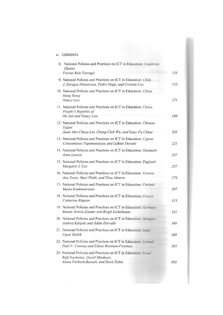vi CONTENTS

| 8. National Policies and Practices on ICT in Education: Catalonia<br>(Spain)<br>Ferran Ruiz Tarragó                  | 135 |
|----------------------------------------------------------------------------------------------------------------------|-----|
| 9. National Policies and Practices on ICT in Education: Chile<br>J. Enrique Hinostroza, Pedro Hepp, and Cristián Cox | 153 |
| 10. National Policies and Practices on ICT in Education: China<br>Hong Kong<br>Nancy Law                             | 171 |
| 11. National Policies and Practices on ICT in Education: China,<br>People's Republic of<br>Hu Jun and Nancy Law      | 189 |
| 12. National Policies and Practices on ICT in Education: Chinese<br>Taipei                                           |     |
| Janet Mei-Chuen Lin, Cheng-Chih Wu, and Guey-Fa Chiou                                                                | 205 |
| 13. National Policies and Practices on ICT in Education: Cyprus<br>Constantinos Papanastasiou and Lefkios Doratis    | 221 |
| 14. National Policies and Practices on ICT in Education: <i>Denmark</i><br>Anne Larson                               | 237 |
| 15. National Policies and Practices on ICT in Education: England<br>Margaret J. Cox                                  | 257 |
| 16. National Policies and Practices on ICT in Education: Estonia<br>Anu Toots, Mari Plakk, and Tõnu Idnurm           | 279 |
| 17. National Policies and Practices on ICT in Education: Finland<br>Marja Kankaanranta                               | 297 |
| 18. National Policies and Practices on ICT in Education: France<br>Catherine Régnier                                 | 315 |
| 19. National Policies and Practices on ICT in Education: Germany<br>Renate Schulz-Zander and Birgit Eickelmann       | 331 |
| 20. National Policies and Practices on ICT in Education: Hungary<br>Andrea Kárpáti and Ádám Horváth                  | 349 |
| 21. National Policies and Practices on ICT in Education: India<br><b>Utpal Mallik</b>                                | 369 |
| 22. National Policies and Practices on ICT in Education: Ireland<br>Paul F. Conway and Eileen Brennan-Freeman        | 383 |
| 23. National Policies and Practices on ICT in Education: Israel<br>Rafi Nachmias, David Mioduser,                    |     |
| Alona Forkosh-Baruch, and Dorit Tubin                                                                                | 403 |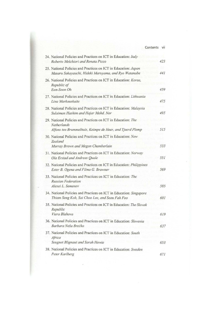|                                                                                                                                                | Contents | VII |
|------------------------------------------------------------------------------------------------------------------------------------------------|----------|-----|
| 24. National Policies and Practices on ICT in Education: Italy<br>Roberto Melchiori and Renata Picco                                           | 423      |     |
| 25. National Policies and Practices on ICT in Education: Japan<br>Masaru Sakayauchi, Hideki Maruyama, and Ryo Watanabe                         | 441      |     |
| 26. National Policies and Practices on ICT in Education: Korea,<br>Republic of<br>Eun-Soon Oh                                                  |          | 459 |
| 27. National Policies and Practices on ICT in Education: Lithuania<br>Lina Markauskaite                                                        |          | 475 |
| 28. National Policies and Practices on ICT in Education: Malaysia<br>Sulaiman Hashim and Hajar Mohd. Nor                                       |          | 495 |
| 29. National Policies and Practices on ICT in Education: The<br><b>Netherlands</b><br>Alfons ten Brummelhuis, Keimpe de Heer, and Tjeerd Plomp |          | 515 |
| 30. National Policies and Practices on ICT in Education: New<br>Zealand                                                                        |          |     |
| Murray Brown and Megan Chamberlain                                                                                                             |          | 533 |
| 31. National Policies and Practices on ICT in Education: Norway<br>Ola Erstad and Andreas Quale                                                |          | 551 |
| 32. National Policies and Practices on ICT in Education: Philippines<br>Ester B. Ogena and Filma G. Brawner                                    |          | 569 |
| 33. National Policies and Practices on ICT in Education: The<br><b>Russian Federation</b>                                                      |          |     |
| Alexei L. Semenov                                                                                                                              |          | 585 |
| 34. National Policies and Practices on ICT in Education: Singapore<br>Thiam Seng Koh, Sai Choo Lee, and Seau Fah Foo                           |          | 601 |
| 35. National Policies and Practices on ICT in Education: The Slovak<br>Republic                                                                |          |     |
| Viera Blahova                                                                                                                                  |          | 619 |
| 36. National Policies and Practices on ICT in Education: Slovenia<br>Barbara Neža Brečko                                                       |          | 637 |
| 37. National Policies and Practices on ICT in Education: South<br>Africa                                                                       |          |     |
| Seugnet Blignaut and Sarah Howie                                                                                                               |          | 653 |
| 38. National Policies and Practices on ICT in Education: Sweden<br>Peter Karlberg                                                              |          | 671 |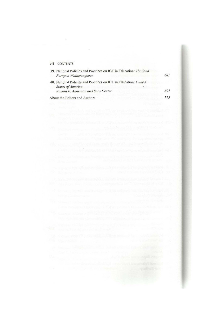viii CONTENTS

 $\widetilde{\Phi}_{\alpha}$ 

| 39. National Policies and Practices on ICT in Education: Thailand<br>Pornpun Waitayangkoon  | 681 |
|---------------------------------------------------------------------------------------------|-----|
| 40. National Policies and Practices on ICT in Education: United<br><b>States of America</b> |     |
| Ronald E. Anderson and Sara Dexter                                                          | 697 |
| About the Editors and Authors                                                               |     |

Note of Wing an President R Profit area in the seal in 2005